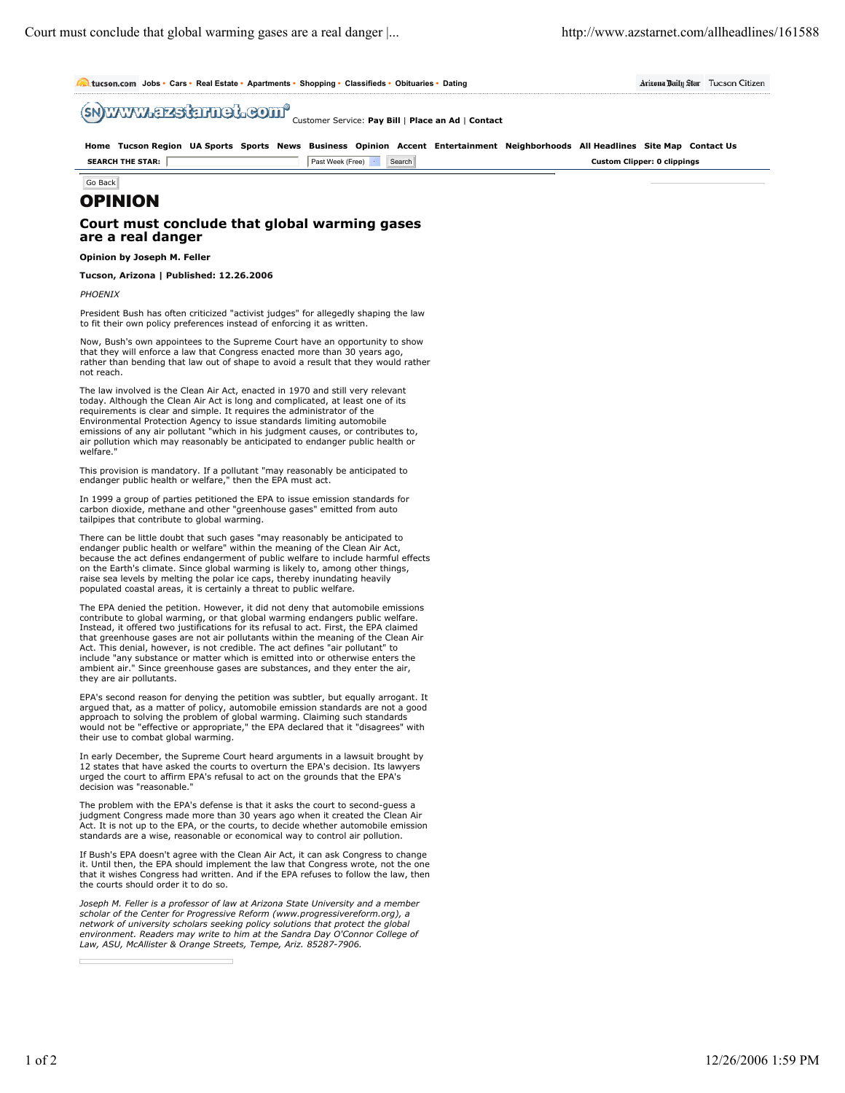Citizen

|  |  | <b>Mitucson.com</b> Jobs · Cars · Real Estate · Apartments · Shopping · Classifieds · Obituaries · Dating |  |  |  |  |  | Arizona Daily Star Tucson |  |  |
|--|--|-----------------------------------------------------------------------------------------------------------|--|--|--|--|--|---------------------------|--|--|
|--|--|-----------------------------------------------------------------------------------------------------------|--|--|--|--|--|---------------------------|--|--|

Customer Service: **Pay Bill** | **Place an Ad** | **Contact**

|                         |                              | Home Tucson Region UA Sports Sports News Business Opinion Accent Entertainment Neighborhoods All Headlines Site Map Contact Us |
|-------------------------|------------------------------|--------------------------------------------------------------------------------------------------------------------------------|
| <b>SEARCH THE STAR:</b> | Search<br>Past Week (Free) · | <b>Custom Clipper: 0 clippings</b>                                                                                             |

Go Back

# OPINION

## **Court must conclude that global warming gases are a real danger**

## **Opinion by Joseph M. Feller**

### **Tucson, Arizona | Published: 12.26.2006**

*PHOENIX*

President Bush has often criticized "activist judges" for allegedly shaping the law to fit their own policy preferences instead of enforcing it as written.

Now, Bush's own appointees to the Supreme Court have an opportunity to show that they will enforce a law that Congress enacted more than 30 years ago, rather than bending that law out of shape to avoid a result that they would rather not reach.

The law involved is the Clean Air Act, enacted in 1970 and still very relevant today. Although the Clean Air Act is long and complicated, at least one of its requirements is clear and simple. It requires the administrator of the Environmental Protection Agency to issue standards limiting automobile emissions of any air pollutant "which in his judgment causes, or contributes to, air pollution which may reasonably be anticipated to endanger public health or welfare.

This provision is mandatory. If a pollutant "may reasonably be anticipated to endanger public health or welfare," then the EPA must act.

In 1999 a group of parties petitioned the EPA to issue emission standards for carbon dioxide, methane and other "greenhouse gases" emitted from auto tailpipes that contribute to global warming.

There can be little doubt that such gases "may reasonably be anticipated to endanger public health or welfare" within the meaning of the Clean Air Act, because the act defines endangerment of public welfare to include harmful effects on the Earth's climate. Since global warming is likely to, among other things, raise sea levels by melting the polar ice caps, thereby inundating heavily populated coastal areas, it is certainly a threat to public welfare.

The EPA denied the petition. However, it did not deny that automobile emissions contribute to global warming, or that global warming endangers public welfare. Instead, it offered two justifications for its refusal to act. First, the EPA claimed that greenhouse gases are not air pollutants within the meaning of the Clean Air Act. This denial, however, is not credible. The act defines "air pollutant" to include "any substance or matter which is emitted into or otherwise enters the ambient air." Since greenhouse gases are substances, and they enter the air, they are air pollutants.

EPA's second reason for denying the petition was subtler, but equally arrogant. It argued that, as a matter of policy, automobile emission standards are not a good approach to solving the problem of global warming. Claiming such standards would not be "effective or appropriate," the EPA declared that it "disagrees" with their use to combat global warming.

In early December, the Supreme Court heard arguments in a lawsuit brought by 12 states that have asked the courts to overturn the EPA's decision. Its lawyers urged the court to affirm EPA's refusal to act on the grounds that the EPA's decision was "reasonable."

The problem with the EPA's defense is that it asks the court to second-guess a judgment Congress made more than 30 years ago when it created the Clean Air Act. It is not up to the EPA, or the courts, to decide whether automobile emission standards are a wise, reasonable or economical way to control air pollution.

If Bush's EPA doesn't agree with the Clean Air Act, it can ask Congress to change it. Until then, the EPA should implement the law that Congress wrote, not the one that it wishes Congress had written. And if the EPA refuses to follow the law, then the courts should order it to do so.

*Joseph M. Feller is a professor of law at Arizona State University and a member scholar of the Center for Progressive Reform (www.progressivereform.org), a network of university scholars seeking policy solutions that protect the global environment. Readers may write to him at the Sandra Day O'Connor College of Law, ASU, McAllister & Orange Streets, Tempe, Ariz. 85287-7906.*